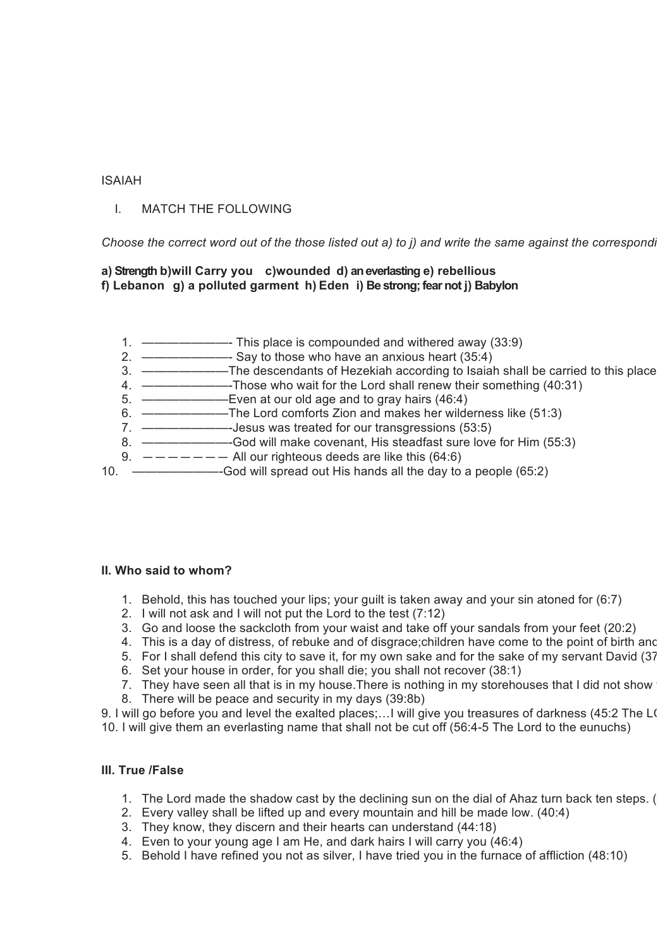#### ISAIAH

## I. MATCH THE FOLLOWING

*Choose the correct word out of the those listed out a) to j) and write the same against the corresponding statement at 1 to 10 on the left side blank space.* 

#### **a) Strength b)will Carry you c)wounded d) an everlasting e) rebellious f) Lebanon g) a polluted garment h) Eden i) Be strong; fear not j) Babylon**

- 1. ———————- This place is compounded and withered away (33:9)
- 2. ———————- Say to those who have an anxious heart (35:4)
- 3. ————————The descendants of Hezekiah according to Isaiah shall be carried to this place
- 4. ———————-Those who wait for the Lord shall renew their something (40:31)
- 5. ———————Even at our old age and to gray hairs (46:4)
- 6. ———————The Lord comforts Zion and makes her wilderness like (51:3)
- 7. ———————-Jesus was treated for our transgressions (53:5)
- 8. ———————-God will make covenant, His steadfast sure love for Him (55:3)
- 9.  $-\frac{\pi}{\pi}$   $-\frac{\pi}{\pi}$  All our righteous deeds are like this (64:6)
- 10. ———————-God will spread out His hands all the day to a people (65:2)

#### **II. Who said to whom?**

- 1. Behold, this has touched your lips; your guilt is taken away and your sin atoned for (6:7)
- 2. I will not ask and I will not put the Lord to the test (7:12)
- 3. Go and loose the sackcloth from your waist and take off your sandals from your feet (20:2)
- 4. This is a day of distress, of rebuke and of disgrace;children have come to the point of birth and
- 5. For I shall defend this city to save it, for my own sake and for the sake of my servant David (37
- 6. Set your house in order, for you shall die; you shall not recover (38:1)
- 7. They have seen all that is in my house. There is nothing in my storehouses that I did not show
- 8. There will be peace and security in my days (39:8b)

9. I will go before you and level the exalted places;...I will give you treasures of darkness (45:2 The LO 10. I will give them an everlasting name that shall not be cut off (56:4-5 The Lord to the eunuchs)

# **III. True /False**

- 1. The Lord made the shadow cast by the declining sun on the dial of Ahaz turn back ten steps. (38:8):
- 2. Every valley shall be lifted up and every mountain and hill be made low. (40:4)
- 3. They know, they discern and their hearts can understand (44:18)
- 4. Even to your young age I am He, and dark hairs I will carry you (46:4)
- 5. Behold I have refined you not as silver, I have tried you in the furnace of affliction (48:10)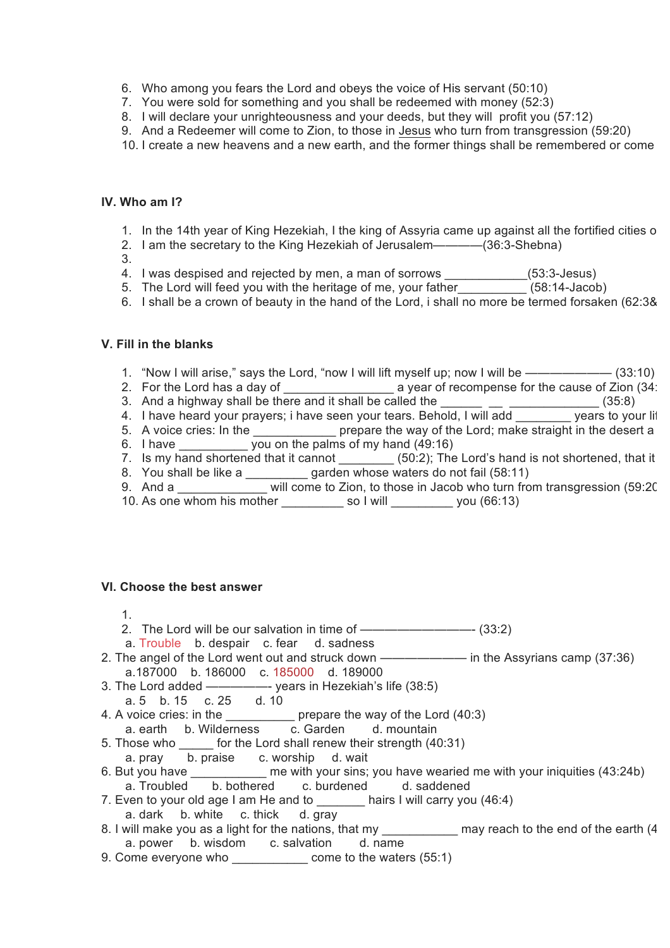- 6. Who among you fears the Lord and obeys the voice of His servant (50:10)
- 7. You were sold for something and you shall be redeemed with money (52:3)
- 8. I will declare your unrighteousness and your deeds, but they will profit you (57:12)
- 9. And a Redeemer will come to Zion, to those in Jesus who turn from transgression (59:20)
- 10. I create a new heavens and a new earth, and the former things shall be remembered or come

## **IV. Who am I?**

- 1. In the 14th year of King Hezekiah, I the king of Assyria came up against all the fortified cities of
- 2. I am the secretary to the King Hezekiah of Jerusalem————(36:3-Shebna)
- 3.
- 4. I was despised and rejected by men, a man of sorrows \_\_\_\_\_\_\_\_\_\_\_\_(53:3-Jesus)
- 5. The Lord will feed you with the heritage of me, your father\_\_\_\_\_\_\_\_\_\_ (58:14-Jacob)
- 6. I shall be a crown of beauty in the hand of the Lord, i shall no more be termed forsaken (62:3&4)

# **V. Fill in the blanks**

- 1. "Now I will arise," says the Lord, "now I will lift myself up; now I will be ——————— (33:10)
- 2. For the Lord has a day of \_\_\_\_\_\_\_\_\_\_\_\_\_\_\_\_\_\_\_\_\_\_\_ a year of recompense for the cause of Zion (34:
- 3. And a highway shall be there and it shall be called the  $\frac{1}{\sqrt{1-\frac{1}{2}}}\sqrt{1-\frac{1}{2}}$  (35:8)
- 4. I have heard your prayers; i have seen your tears. Behold, I will add vears to your lift
- 5. A voice cries: In the \_\_\_\_\_\_\_\_\_\_\_\_\_\_ prepare the way of the Lord; make straight in the desert a
- 6. I have \_\_\_\_\_\_\_\_\_\_ you on the palms of my hand (49:16)
- 7. Is my hand shortened that it cannot  $\_\_\_\_\_$ (50:2); The Lord's hand is not shortened, that it
- 8. You shall be like a same all garden whose waters do not fail (58:11)
- 9. And a \_\_\_\_\_\_\_\_\_\_\_\_\_ will come to Zion, to those in Jacob who turn from transgression (59:20)
- 10. As one whom his mother \_\_\_\_\_\_\_\_\_\_ so I will \_\_\_\_\_\_\_\_\_ you (66:13)

## **VI. Choose the best answer**

- 1.
- 2. The Lord will be our salvation in time of ————————————————————  $(33:2)$
- a. Trouble b. despair c. fear d. sadness
- 2. The angel of the Lord went out and struck down ———————— in the Assyrians camp (37:36) a.187000 b. 186000 c. 185000 d. 189000
- 3. The Lord added —————- years in Hezekiah's life (38:5)
- a. 5 b. 15 c. 25 d. 10
- 4. A voice cries: in the \_\_\_\_\_\_\_\_\_\_ prepare the way of the Lord (40:3) a. earth b. Wilderness c. Garden d. mountain
- 5. Those who \_\_\_\_\_ for the Lord shall renew their strength (40:31)
- a. pray b. praise c. worship d. wait
- 6. But you have \_\_\_\_\_\_\_\_\_\_\_ me with your sins; you have wearied me with your iniquities (43:24b) a. Troubled b. bothered c. burdened d. saddened
- 7. Even to your old age I am He and to \_\_\_\_\_\_\_\_ hairs I will carry you (46:4)
- a. dark b. white c. thick d. gray
- 8. I will make you as a light for the nations, that my \_\_\_\_\_\_\_\_\_\_\_\_\_ may reach to the end of the earth (4 a. power b. wisdom c. salvation d. name
- 9. Come everyone who come to the waters (55:1)